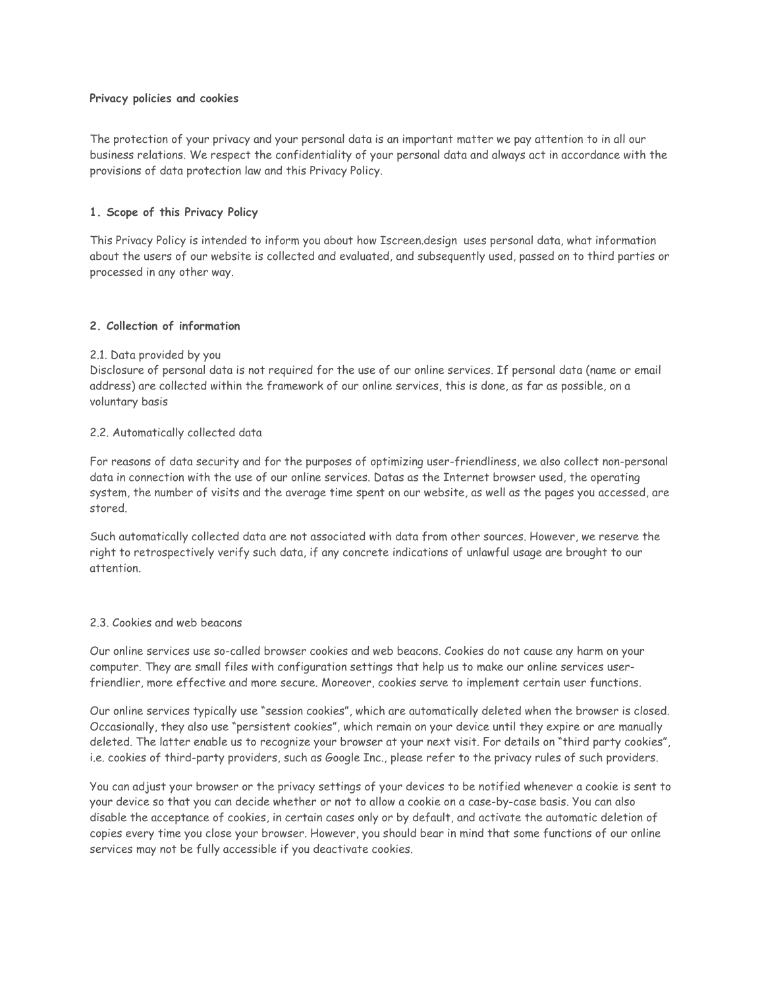### **Privacy policies and cookies**

The protection of your privacy and your personal data is an important matter we pay attention to in all our business relations. We respect the confidentiality of your personal data and always act in accordance with the provisions of data protection law and this Privacy Policy.

# **1. Scope of this Privacy Policy**

This Privacy Policy is intended to inform you about how Iscreen.design uses personal data, what information about the users of our website is collected and evaluated, and subsequently used, passed on to third parties or processed in any other way.

## **2. Collection of information**

### 2.1. Data provided by you

Disclosure of personal data is not required for the use of our online services. If personal data (name or email address) are collected within the framework of our online services, this is done, as far as possible, on a voluntary basis

## 2.2. Automatically collected data

For reasons of data security and for the purposes of optimizing user-friendliness, we also collect non-personal data in connection with the use of our online services. Datas as the Internet browser used, the operating system, the number of visits and the average time spent on our website, as well as the pages you accessed, are stored.

Such automatically collected data are not associated with data from other sources. However, we reserve the right to retrospectively verify such data, if any concrete indications of unlawful usage are brought to our attention.

### 2.3. Cookies and web beacons

Our online services use so-called browser cookies and web beacons. Cookies do not cause any harm on your computer. They are small files with configuration settings that help us to make our online services userfriendlier, more effective and more secure. Moreover, cookies serve to implement certain user functions.

Our online services typically use "session cookies", which are automatically deleted when the browser is closed. Occasionally, they also use "persistent cookies", which remain on your device until they expire or are manually deleted. The latter enable us to recognize your browser at your next visit. For details on "third party cookies", i.e. cookies of third-party providers, such as Google Inc., please refer to the privacy rules of such providers.

You can adjust your browser or the privacy settings of your devices to be notified whenever a cookie is sent to your device so that you can decide whether or not to allow a cookie on a case-by-case basis. You can also disable the acceptance of cookies, in certain cases only or by default, and activate the automatic deletion of copies every time you close your browser. However, you should bear in mind that some functions of our online services may not be fully accessible if you deactivate cookies.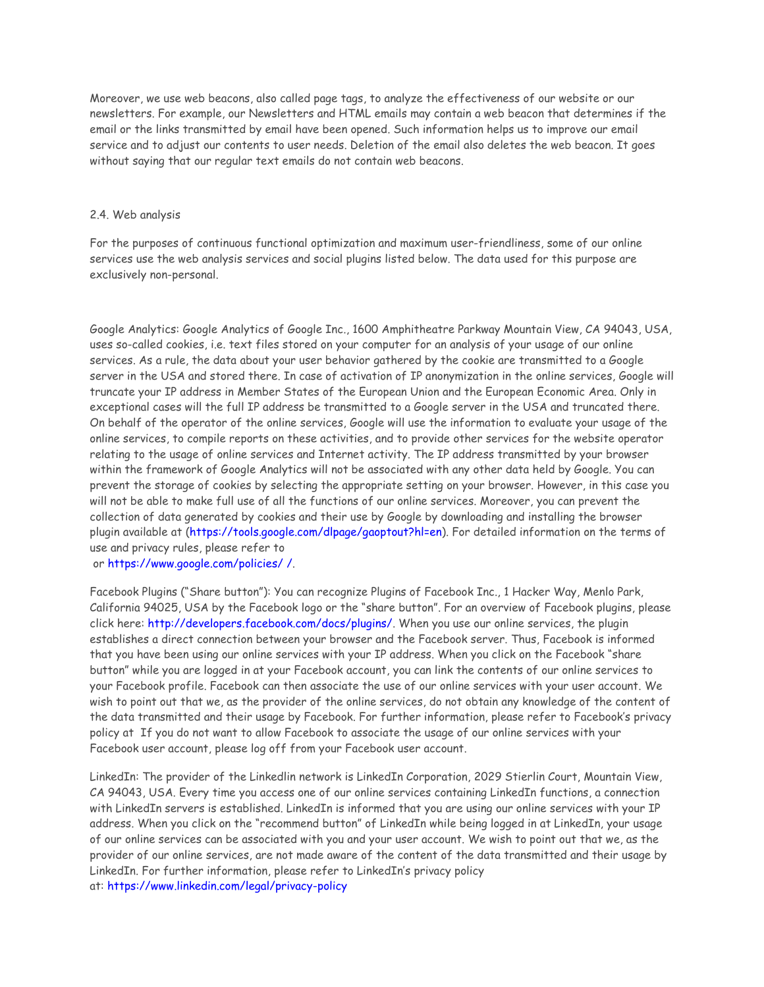Moreover, we use web beacons, also called page tags, to analyze the effectiveness of our website or our newsletters. For example, our Newsletters and HTML emails may contain a web beacon that determines if the email or the links transmitted by email have been opened. Such information helps us to improve our email service and to adjust our contents to user needs. Deletion of the email also deletes the web beacon. It goes without saying that our regular text emails do not contain web beacons.

#### 2.4. Web analysis

For the purposes of continuous functional optimization and maximum user-friendliness, some of our online services use the web analysis services and social plugins listed below. The data used for this purpose are exclusively non-personal.

Google Analytics: Google Analytics of Google Inc., 1600 Amphitheatre Parkway Mountain View, CA 94043, USA, uses so-called cookies, i.e. text files stored on your computer for an analysis of your usage of our online services. As a rule, the data about your user behavior gathered by the cookie are transmitted to a Google server in the USA and stored there. In case of activation of IP anonymization in the online services, Google will truncate your IP address in Member States of the European Union and the European Economic Area. Only in exceptional cases will the full IP address be transmitted to a Google server in the USA and truncated there. On behalf of the operator of the online services, Google will use the information to evaluate your usage of the online services, to compile reports on these activities, and to provide other services for the website operator relating to the usage of online services and Internet activity. The IP address transmitted by your browser within the framework of Google Analytics will not be associated with any other data held by Google. You can prevent the storage of cookies by selecting the appropriate setting on your browser. However, in this case you will not be able to make full use of all the functions of our online services. Moreover, you can prevent the collection of data generated by cookies and their use by Google by downloading and installing the browser plugin available at [\(https://tools.google.com/dlpage/gaoptout?hl=en\)](https://tools.google.com/dlpage/gaoptout?hl=en). For detailed information on the terms of use and privacy rules, please refer to

or [https://www.google.com/policies/](https://www.google.com/policies/%20/) /.

Facebook Plugins ("Share button"): You can recognize Plugins of Facebook Inc., 1 Hacker Way, Menlo Park, California 94025, USA by the Facebook logo or the "share button". For an overview of Facebook plugins, please click here: [http://developers.facebook.com/docs/plugins/.](http://developers.facebook.com/docs/plugins/) When you use our online services, the plugin establishes a direct connection between your browser and the Facebook server. Thus, Facebook is informed that you have been using our online services with your IP address. When you click on the Facebook "share button" while you are logged in at your Facebook account, you can link the contents of our online services to your Facebook profile. Facebook can then associate the use of our online services with your user account. We wish to point out that we, as the provider of the online services, do not obtain any knowledge of the content of the data transmitted and their usage by Facebook. For further information, please refer to Facebook's privacy policy at If you do not want to allow Facebook to associate the usage of our online services with your Facebook user account, please log off from your Facebook user account.

LinkedIn: The provider of the Linkedlin network is LinkedIn Corporation, 2029 Stierlin Court, Mountain View, CA 94043, USA. Every time you access one of our online services containing LinkedIn functions, a connection with LinkedIn servers is established. LinkedIn is informed that you are using our online services with your IP address. When you click on the "recommend button" of LinkedIn while being logged in at LinkedIn, your usage of our online services can be associated with you and your user account. We wish to point out that we, as the provider of our online services, are not made aware of the content of the data transmitted and their usage by LinkedIn. For further information, please refer to LinkedIn's privacy policy at: <https://www.linkedin.com/legal/privacy-policy>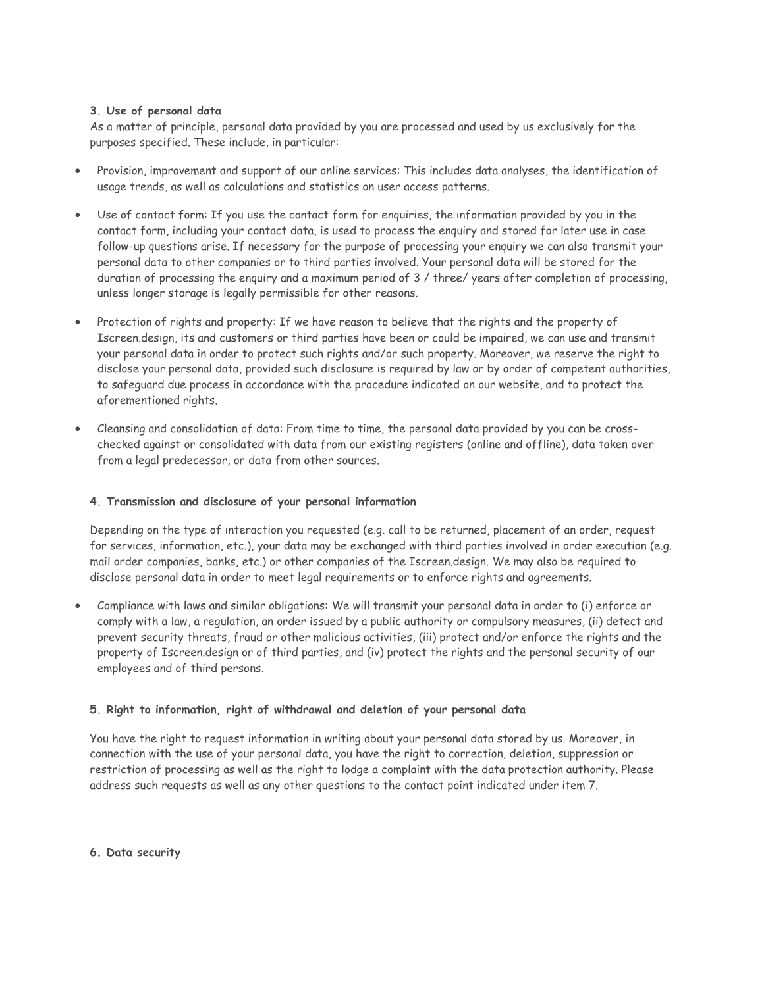## **3. Use of personal data**

As a matter of principle, personal data provided by you are processed and used by us exclusively for the purposes specified. These include, in particular:

- Provision, improvement and support of our online services: This includes data analyses, the identification of usage trends, as well as calculations and statistics on user access patterns.
- Use of contact form: If you use the contact form for enquiries, the information provided by you in the contact form, including your contact data, is used to process the enquiry and stored for later use in case follow-up questions arise. If necessary for the purpose of processing your enquiry we can also transmit your personal data to other companies or to third parties involved. Your personal data will be stored for the duration of processing the enquiry and a maximum period of 3 / three/ years after completion of processing, unless longer storage is legally permissible for other reasons.
- Protection of rights and property: If we have reason to believe that the rights and the property of Iscreen.design, its and customers or third parties have been or could be impaired, we can use and transmit your personal data in order to protect such rights and/or such property. Moreover, we reserve the right to disclose your personal data, provided such disclosure is required by law or by order of competent authorities, to safeguard due process in accordance with the procedure indicated on our website, and to protect the aforementioned rights.
- Cleansing and consolidation of data: From time to time, the personal data provided by you can be crosschecked against or consolidated with data from our existing registers (online and offline), data taken over from a legal predecessor, or data from other sources.

# **4. Transmission and disclosure of your personal information**

Depending on the type of interaction you requested (e.g. call to be returned, placement of an order, request for services, information, etc.), your data may be exchanged with third parties involved in order execution (e.g. mail order companies, banks, etc.) or other companies of the Iscreen.design. We may also be required to disclose personal data in order to meet legal requirements or to enforce rights and agreements.

 Compliance with laws and similar obligations: We will transmit your personal data in order to (i) enforce or comply with a law, a regulation, an order issued by a public authority or compulsory measures, (ii) detect and prevent security threats, fraud or other malicious activities, (iii) protect and/or enforce the rights and the property of Iscreen.design or of third parties, and (iv) protect the rights and the personal security of our employees and of third persons.

## **5. Right to information, right of withdrawal and deletion of your personal data**

You have the right to request information in writing about your personal data stored by us. Moreover, in connection with the use of your personal data, you have the right to correction, deletion, suppression or restriction of processing as well as the right to lodge a complaint with the data protection authority. Please address such requests as well as any other questions to the contact point indicated under item 7.

## **6. Data security**